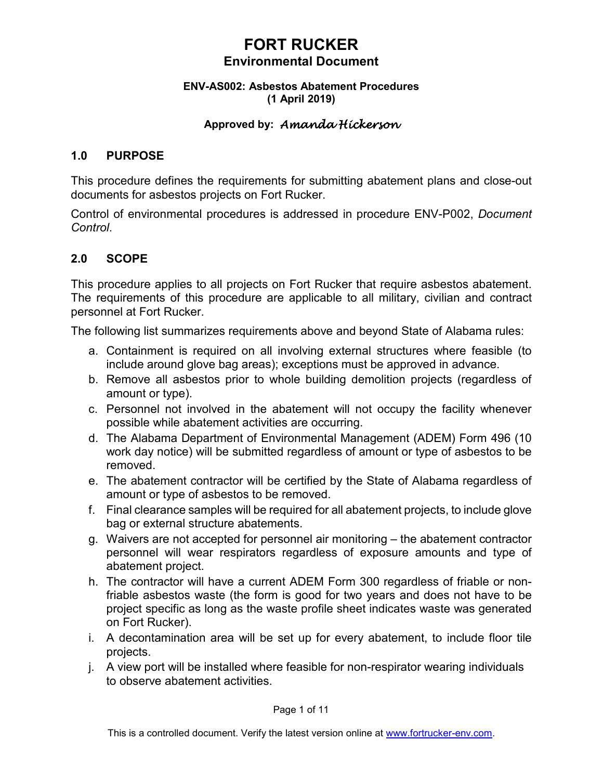### **ENV-AS002: Asbestos Abatement Procedures (1 April 2019)**

### **Approved by:** *Amanda Hickerson*

### **1.0 PURPOSE**

This procedure defines the requirements for submitting abatement plans and close-out documents for asbestos projects on Fort Rucker.

Control of environmental procedures is addressed in procedure ENV-P002, *Document Control*.

### **2.0 SCOPE**

This procedure applies to all projects on Fort Rucker that require asbestos abatement. The requirements of this procedure are applicable to all military, civilian and contract personnel at Fort Rucker.

The following list summarizes requirements above and beyond State of Alabama rules:

- a. Containment is required on all involving external structures where feasible (to include around glove bag areas); exceptions must be approved in advance.
- b. Remove all asbestos prior to whole building demolition projects (regardless of amount or type).
- c. Personnel not involved in the abatement will not occupy the facility whenever possible while abatement activities are occurring.
- d. The Alabama Department of Environmental Management (ADEM) Form 496 (10 work day notice) will be submitted regardless of amount or type of asbestos to be removed.
- e. The abatement contractor will be certified by the State of Alabama regardless of amount or type of asbestos to be removed.
- f. Final clearance samples will be required for all abatement projects, to include glove bag or external structure abatements.
- g. Waivers are not accepted for personnel air monitoring the abatement contractor personnel will wear respirators regardless of exposure amounts and type of abatement project.
- h. The contractor will have a current ADEM Form 300 regardless of friable or nonfriable asbestos waste (the form is good for two years and does not have to be project specific as long as the waste profile sheet indicates waste was generated on Fort Rucker).
- i. A decontamination area will be set up for every abatement, to include floor tile projects.
- j. A view port will be installed where feasible for non-respirator wearing individuals to observe abatement activities.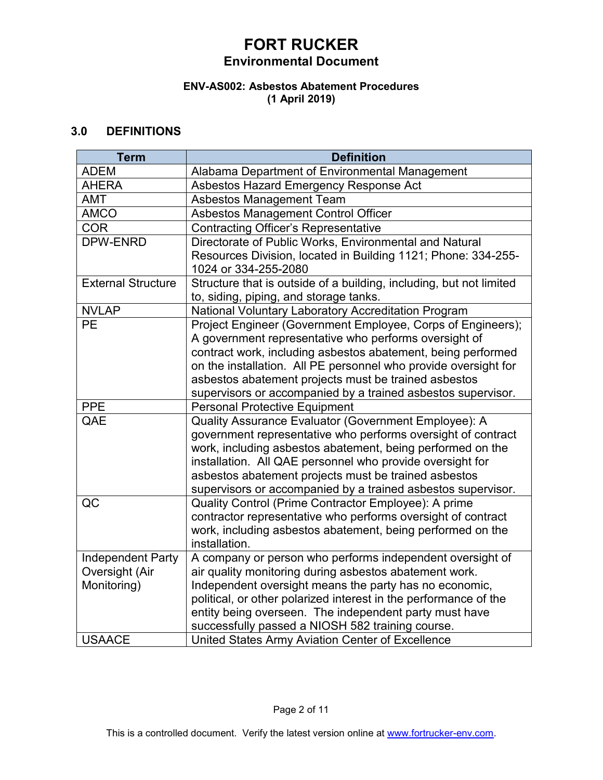# **FORT RUCKER**

### **Environmental Document**

### **ENV-AS002: Asbestos Abatement Procedures (1 April 2019)**

### **3.0 DEFINITIONS**

| <b>Term</b>               | <b>Definition</b>                                                           |
|---------------------------|-----------------------------------------------------------------------------|
| <b>ADEM</b>               | Alabama Department of Environmental Management                              |
| <b>AHERA</b>              | Asbestos Hazard Emergency Response Act                                      |
| <b>AMT</b>                | <b>Asbestos Management Team</b>                                             |
| <b>AMCO</b>               | Asbestos Management Control Officer                                         |
| <b>COR</b>                | <b>Contracting Officer's Representative</b>                                 |
| <b>DPW-ENRD</b>           | Directorate of Public Works, Environmental and Natural                      |
|                           | Resources Division, located in Building 1121; Phone: 334-255-               |
|                           | 1024 or 334-255-2080                                                        |
| <b>External Structure</b> | Structure that is outside of a building, including, but not limited         |
|                           | to, siding, piping, and storage tanks.                                      |
| <b>NVLAP</b>              | National Voluntary Laboratory Accreditation Program                         |
| <b>PE</b>                 | Project Engineer (Government Employee, Corps of Engineers);                 |
|                           | A government representative who performs oversight of                       |
|                           | contract work, including asbestos abatement, being performed                |
|                           | on the installation. All PE personnel who provide oversight for             |
|                           | asbestos abatement projects must be trained asbestos                        |
|                           | supervisors or accompanied by a trained asbestos supervisor.                |
| <b>PPE</b>                | <b>Personal Protective Equipment</b>                                        |
| QAE                       | Quality Assurance Evaluator (Government Employee): A                        |
|                           | government representative who performs oversight of contract                |
|                           | work, including asbestos abatement, being performed on the                  |
|                           | installation. All QAE personnel who provide oversight for                   |
|                           | asbestos abatement projects must be trained asbestos                        |
|                           | supervisors or accompanied by a trained asbestos supervisor.                |
| QC                        | Quality Control (Prime Contractor Employee): A prime                        |
|                           | contractor representative who performs oversight of contract                |
|                           | work, including asbestos abatement, being performed on the<br>installation. |
| <b>Independent Party</b>  | A company or person who performs independent oversight of                   |
| Oversight (Air            | air quality monitoring during asbestos abatement work.                      |
| Monitoring)               | Independent oversight means the party has no economic,                      |
|                           | political, or other polarized interest in the performance of the            |
|                           | entity being overseen. The independent party must have                      |
|                           | successfully passed a NIOSH 582 training course.                            |
| <b>USAACE</b>             | United States Army Aviation Center of Excellence                            |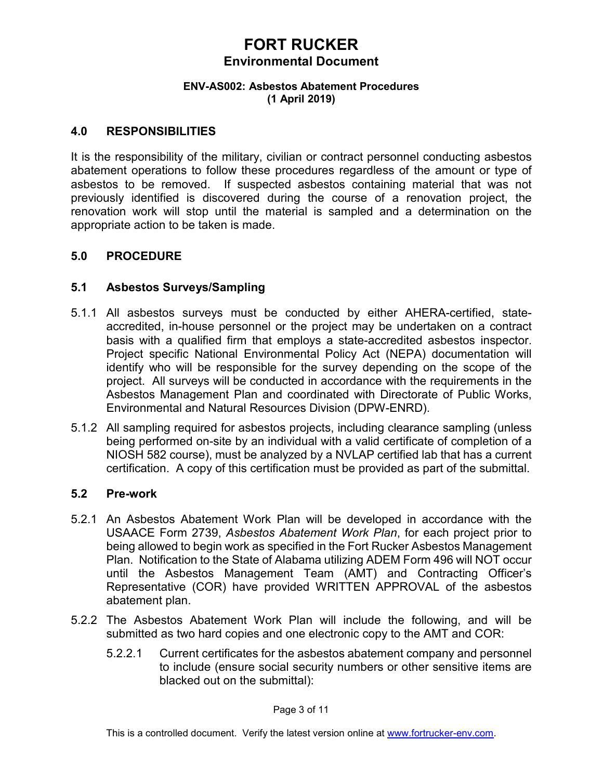### **ENV-AS002: Asbestos Abatement Procedures (1 April 2019)**

### **4.0 RESPONSIBILITIES**

It is the responsibility of the military, civilian or contract personnel conducting asbestos abatement operations to follow these procedures regardless of the amount or type of asbestos to be removed. If suspected asbestos containing material that was not previously identified is discovered during the course of a renovation project, the renovation work will stop until the material is sampled and a determination on the appropriate action to be taken is made.

### **5.0 PROCEDURE**

### **5.1 Asbestos Surveys/Sampling**

- 5.1.1 All asbestos surveys must be conducted by either AHERA-certified, stateaccredited, in-house personnel or the project may be undertaken on a contract basis with a qualified firm that employs a state-accredited asbestos inspector. Project specific National Environmental Policy Act (NEPA) documentation will identify who will be responsible for the survey depending on the scope of the project. All surveys will be conducted in accordance with the requirements in the Asbestos Management Plan and coordinated with Directorate of Public Works, Environmental and Natural Resources Division (DPW-ENRD).
- 5.1.2 All sampling required for asbestos projects, including clearance sampling (unless being performed on-site by an individual with a valid certificate of completion of a NIOSH 582 course), must be analyzed by a NVLAP certified lab that has a current certification. A copy of this certification must be provided as part of the submittal.

### **5.2 Pre-work**

- 5.2.1 An Asbestos Abatement Work Plan will be developed in accordance with the USAACE Form 2739, *Asbestos Abatement Work Plan*, for each project prior to being allowed to begin work as specified in the Fort Rucker Asbestos Management Plan. Notification to the State of Alabama utilizing ADEM Form 496 will NOT occur until the Asbestos Management Team (AMT) and Contracting Officer's Representative (COR) have provided WRITTEN APPROVAL of the asbestos abatement plan.
- 5.2.2 The Asbestos Abatement Work Plan will include the following, and will be submitted as two hard copies and one electronic copy to the AMT and COR:
	- 5.2.2.1 Current certificates for the asbestos abatement company and personnel to include (ensure social security numbers or other sensitive items are blacked out on the submittal):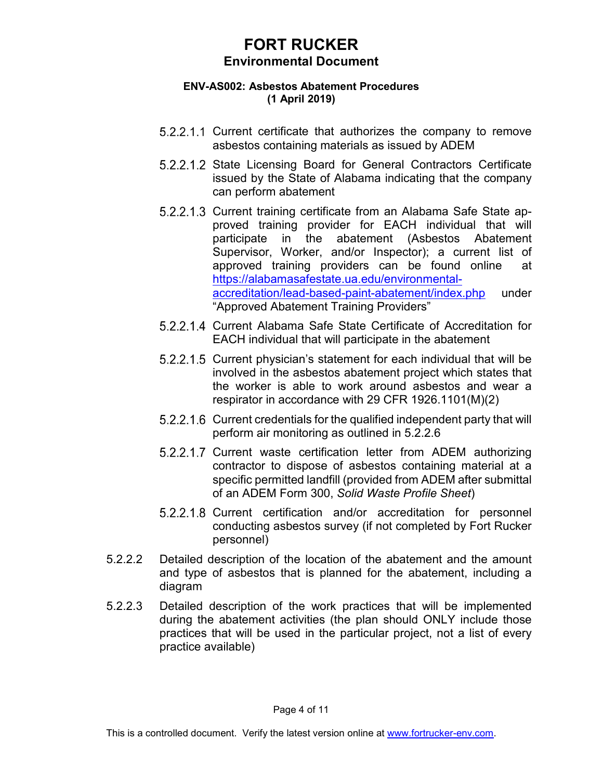### **ENV-AS002: Asbestos Abatement Procedures (1 April 2019)**

- 5.2.2.1.1 Current certificate that authorizes the company to remove asbestos containing materials as issued by ADEM
- 5.2.2.1.2 State Licensing Board for General Contractors Certificate issued by the State of Alabama indicating that the company can perform abatement
- 5.2.2.1.3 Current training certificate from an Alabama Safe State approved training provider for EACH individual that will participate in the abatement (Asbestos Abatement Supervisor, Worker, and/or Inspector); a current list of approved training providers can be found online at [https://alabamasafestate.ua.edu/environmental](https://alabamasafestate.ua.edu/environmental-accreditation/lead-based-paint-abatement/index.php)[accreditation/lead-based-paint-abatement/index.php](https://alabamasafestate.ua.edu/environmental-accreditation/lead-based-paint-abatement/index.php) under "Approved Abatement Training Providers"
- 5.2.2.1.4 Current Alabama Safe State Certificate of Accreditation for EACH individual that will participate in the abatement
- 5.2.2.1.5 Current physician's statement for each individual that will be involved in the asbestos abatement project which states that the worker is able to work around asbestos and wear a respirator in accordance with 29 CFR 1926.1101(M)(2)
- 5.2.2.1.6 Current credentials for the qualified independent party that will perform air monitoring as outlined in 5.2.2.6
- 5.2.2.1.7 Current waste certification letter from ADEM authorizing contractor to dispose of asbestos containing material at a specific permitted landfill (provided from ADEM after submittal of an ADEM Form 300, *Solid Waste Profile Sheet*)
- 5.2.2.1.8 Current certification and/or accreditation for personnel conducting asbestos survey (if not completed by Fort Rucker personnel)
- 5.2.2.2 Detailed description of the location of the abatement and the amount and type of asbestos that is planned for the abatement, including a diagram
- 5.2.2.3 Detailed description of the work practices that will be implemented during the abatement activities (the plan should ONLY include those practices that will be used in the particular project, not a list of every practice available)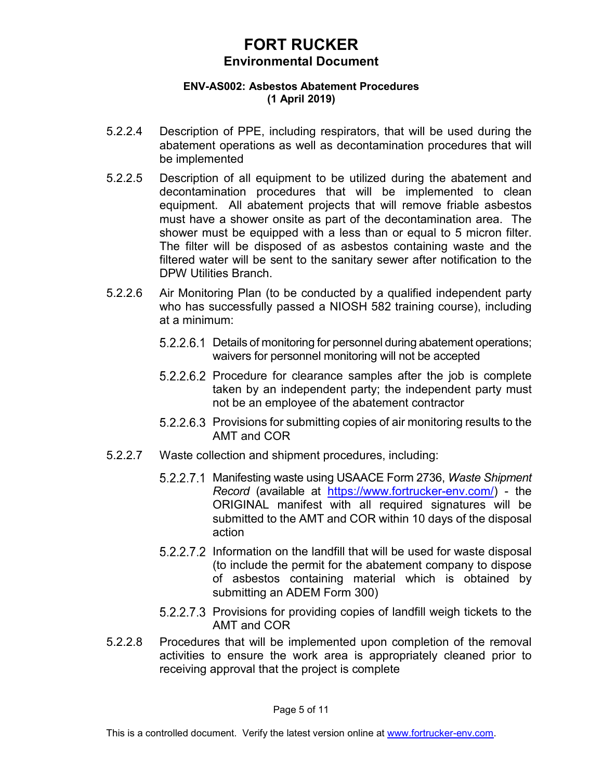### **ENV-AS002: Asbestos Abatement Procedures (1 April 2019)**

- 5.2.2.4 Description of PPE, including respirators, that will be used during the abatement operations as well as decontamination procedures that will be implemented
- 5.2.2.5 Description of all equipment to be utilized during the abatement and decontamination procedures that will be implemented to clean equipment. All abatement projects that will remove friable asbestos must have a shower onsite as part of the decontamination area. The shower must be equipped with a less than or equal to 5 micron filter. The filter will be disposed of as asbestos containing waste and the filtered water will be sent to the sanitary sewer after notification to the DPW Utilities Branch.
- 5.2.2.6 Air Monitoring Plan (to be conducted by a qualified independent party who has successfully passed a NIOSH 582 training course), including at a minimum:
	- 5.2.2.6.1 Details of monitoring for personnel during abatement operations; waivers for personnel monitoring will not be accepted
	- 5.2.2.6.2 Procedure for clearance samples after the job is complete taken by an independent party; the independent party must not be an employee of the abatement contractor
	- 5.2.2.6.3 Provisions for submitting copies of air monitoring results to the AMT and COR
- 5.2.2.7 Waste collection and shipment procedures, including:
	- Manifesting waste using USAACE Form 2736, *Waste Shipment Record* (available at [https://www.fortrucker-env.com/\)](https://www.fortrucker-env.com/) - the ORIGINAL manifest with all required signatures will be submitted to the AMT and COR within 10 days of the disposal action
	- 5.2.2.7.2 Information on the landfill that will be used for waste disposal (to include the permit for the abatement company to dispose of asbestos containing material which is obtained by submitting an ADEM Form 300)
	- 5.2.2.7.3 Provisions for providing copies of landfill weigh tickets to the AMT and COR
- 5.2.2.8 Procedures that will be implemented upon completion of the removal activities to ensure the work area is appropriately cleaned prior to receiving approval that the project is complete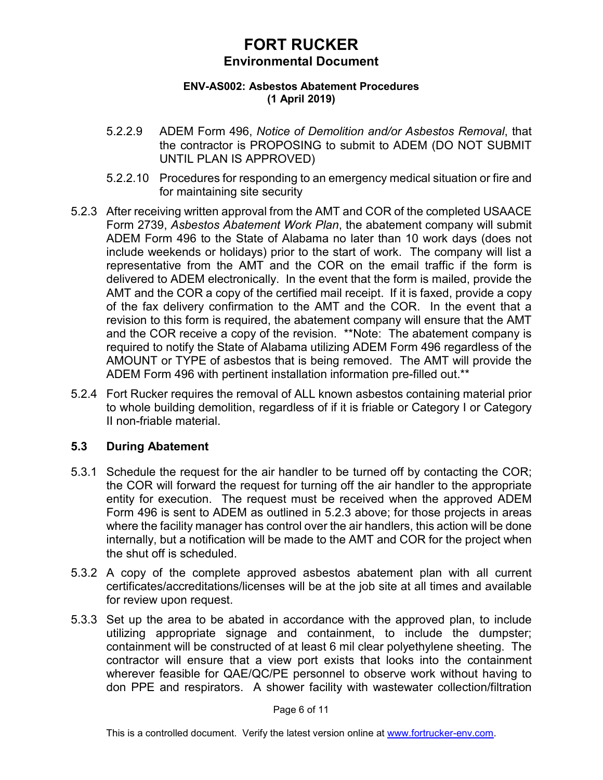### **ENV-AS002: Asbestos Abatement Procedures (1 April 2019)**

- 5.2.2.9 ADEM Form 496, *Notice of Demolition and/or Asbestos Removal*, that the contractor is PROPOSING to submit to ADEM (DO NOT SUBMIT UNTIL PLAN IS APPROVED)
- 5.2.2.10 Procedures for responding to an emergency medical situation or fire and for maintaining site security
- 5.2.3 After receiving written approval from the AMT and COR of the completed USAACE Form 2739, *Asbestos Abatement Work Plan*, the abatement company will submit ADEM Form 496 to the State of Alabama no later than 10 work days (does not include weekends or holidays) prior to the start of work. The company will list a representative from the AMT and the COR on the email traffic if the form is delivered to ADEM electronically. In the event that the form is mailed, provide the AMT and the COR a copy of the certified mail receipt. If it is faxed, provide a copy of the fax delivery confirmation to the AMT and the COR. In the event that a revision to this form is required, the abatement company will ensure that the AMT and the COR receive a copy of the revision. \*\*Note: The abatement company is required to notify the State of Alabama utilizing ADEM Form 496 regardless of the AMOUNT or TYPE of asbestos that is being removed. The AMT will provide the ADEM Form 496 with pertinent installation information pre-filled out.\*\*
- 5.2.4 Fort Rucker requires the removal of ALL known asbestos containing material prior to whole building demolition, regardless of if it is friable or Category I or Category II non-friable material.

### **5.3 During Abatement**

- 5.3.1 Schedule the request for the air handler to be turned off by contacting the COR; the COR will forward the request for turning off the air handler to the appropriate entity for execution. The request must be received when the approved ADEM Form 496 is sent to ADEM as outlined in 5.2.3 above; for those projects in areas where the facility manager has control over the air handlers, this action will be done internally, but a notification will be made to the AMT and COR for the project when the shut off is scheduled.
- 5.3.2 A copy of the complete approved asbestos abatement plan with all current certificates/accreditations/licenses will be at the job site at all times and available for review upon request.
- 5.3.3 Set up the area to be abated in accordance with the approved plan, to include utilizing appropriate signage and containment, to include the dumpster; containment will be constructed of at least 6 mil clear polyethylene sheeting. The contractor will ensure that a view port exists that looks into the containment wherever feasible for QAE/QC/PE personnel to observe work without having to don PPE and respirators. A shower facility with wastewater collection/filtration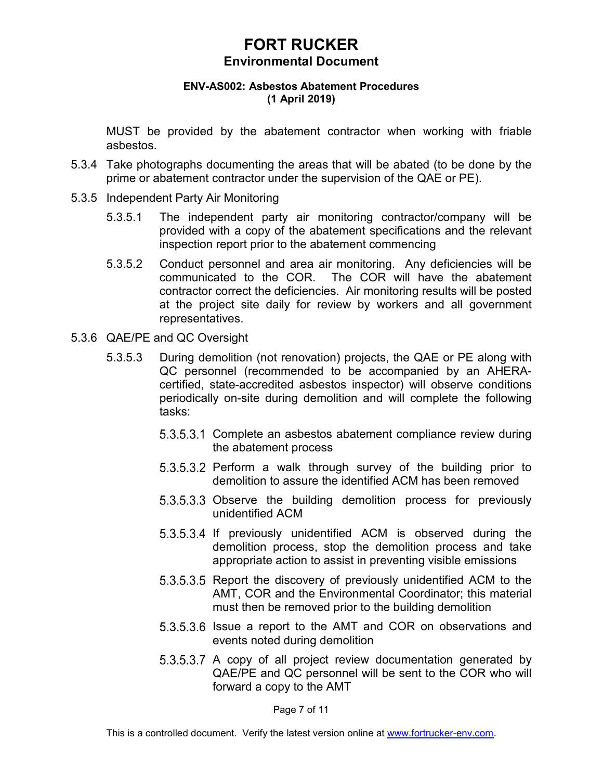#### **ENV-AS002: Asbestos Abatement Procedures (1 April 2019)**

MUST be provided by the abatement contractor when working with friable asbestos.

- 5.3.4 Take photographs documenting the areas that will be abated (to be done by the prime or abatement contractor under the supervision of the QAE or PE).
- 5.3.5 Independent Party Air Monitoring
	- 5.3.5.1 The independent party air monitoring contractor/company will be provided with a copy of the abatement specifications and the relevant inspection report prior to the abatement commencing
	- 5.3.5.2 Conduct personnel and area air monitoring. Any deficiencies will be communicated to the COR. The COR will have the abatement contractor correct the deficiencies. Air monitoring results will be posted at the project site daily for review by workers and all government representatives.
- 5.3.6 QAE/PE and QC Oversight
	- 5.3.5.3 During demolition (not renovation) projects, the QAE or PE along with QC personnel (recommended to be accompanied by an AHERAcertified, state-accredited asbestos inspector) will observe conditions periodically on-site during demolition and will complete the following tasks:
		- 5.3.5.3.1 Complete an asbestos abatement compliance review during the abatement process
		- $5.3.5.3.2$  Perform a walk through survey of the building prior to demolition to assure the identified ACM has been removed
		- 5.3.5.3.3 Observe the building demolition process for previously unidentified ACM
		- 5.3.5.3.4 If previously unidentified ACM is observed during the demolition process, stop the demolition process and take appropriate action to assist in preventing visible emissions
		- 5.3.5.3.5 Report the discovery of previously unidentified ACM to the AMT, COR and the Environmental Coordinator; this material must then be removed prior to the building demolition
		- 5.3.5.3.6 Issue a report to the AMT and COR on observations and events noted during demolition
		- 5.3.5.3.7 A copy of all project review documentation generated by QAE/PE and QC personnel will be sent to the COR who will forward a copy to the AMT

Page 7 of 11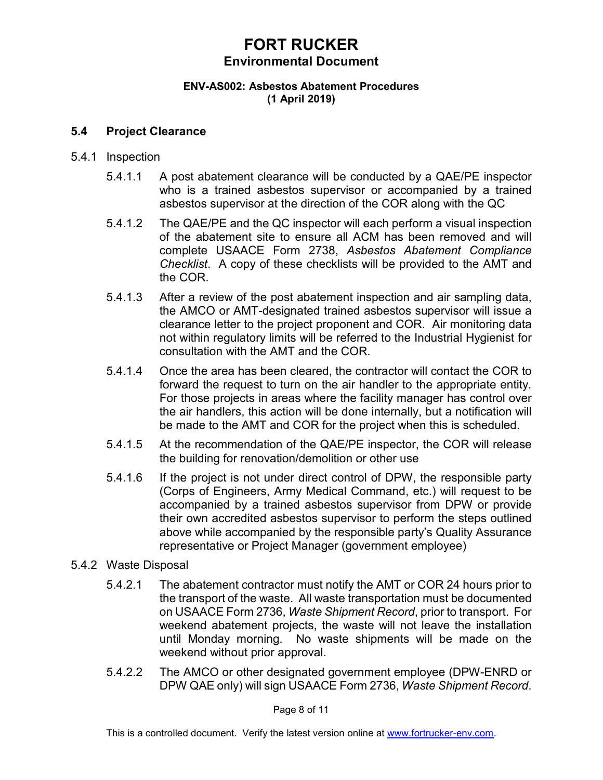#### **ENV-AS002: Asbestos Abatement Procedures (1 April 2019)**

### **5.4 Project Clearance**

- 5.4.1 Inspection
	- 5.4.1.1 A post abatement clearance will be conducted by a QAE/PE inspector who is a trained asbestos supervisor or accompanied by a trained asbestos supervisor at the direction of the COR along with the QC
	- 5.4.1.2 The QAE/PE and the QC inspector will each perform a visual inspection of the abatement site to ensure all ACM has been removed and will complete USAACE Form 2738, *Asbestos Abatement Compliance Checklist*. A copy of these checklists will be provided to the AMT and the COR.
	- 5.4.1.3 After a review of the post abatement inspection and air sampling data, the AMCO or AMT-designated trained asbestos supervisor will issue a clearance letter to the project proponent and COR. Air monitoring data not within regulatory limits will be referred to the Industrial Hygienist for consultation with the AMT and the COR.
	- 5.4.1.4 Once the area has been cleared, the contractor will contact the COR to forward the request to turn on the air handler to the appropriate entity. For those projects in areas where the facility manager has control over the air handlers, this action will be done internally, but a notification will be made to the AMT and COR for the project when this is scheduled.
	- 5.4.1.5 At the recommendation of the QAE/PE inspector, the COR will release the building for renovation/demolition or other use
	- 5.4.1.6 If the project is not under direct control of DPW, the responsible party (Corps of Engineers, Army Medical Command, etc.) will request to be accompanied by a trained asbestos supervisor from DPW or provide their own accredited asbestos supervisor to perform the steps outlined above while accompanied by the responsible party's Quality Assurance representative or Project Manager (government employee)
- 5.4.2 Waste Disposal
	- 5.4.2.1 The abatement contractor must notify the AMT or COR 24 hours prior to the transport of the waste. All waste transportation must be documented on USAACE Form 2736, *Waste Shipment Record*, prior to transport. For weekend abatement projects, the waste will not leave the installation until Monday morning. No waste shipments will be made on the weekend without prior approval.
	- 5.4.2.2 The AMCO or other designated government employee (DPW-ENRD or DPW QAE only) will sign USAACE Form 2736, *Waste Shipment Record*.

Page 8 of 11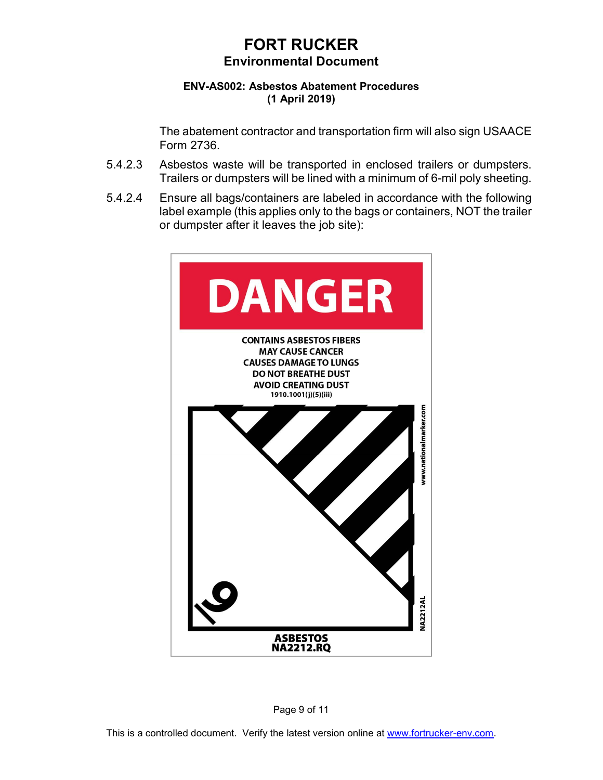### **ENV-AS002: Asbestos Abatement Procedures (1 April 2019)**

The abatement contractor and transportation firm will also sign USAACE Form 2736.

- 5.4.2.3 Asbestos waste will be transported in enclosed trailers or dumpsters. Trailers or dumpsters will be lined with a minimum of 6-mil poly sheeting.
- 5.4.2.4 Ensure all bags/containers are labeled in accordance with the following label example (this applies only to the bags or containers, NOT the trailer or dumpster after it leaves the job site):



Page 9 of 11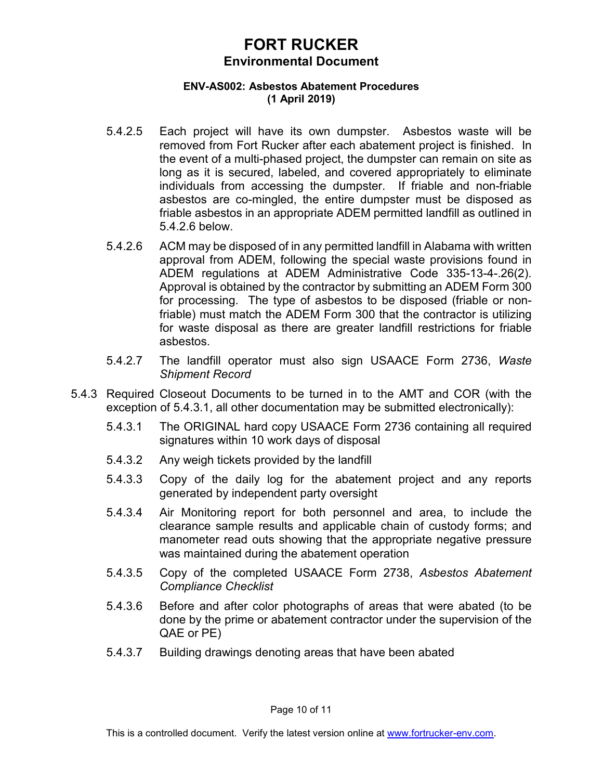### **ENV-AS002: Asbestos Abatement Procedures (1 April 2019)**

- 5.4.2.5 Each project will have its own dumpster. Asbestos waste will be removed from Fort Rucker after each abatement project is finished. In the event of a multi-phased project, the dumpster can remain on site as long as it is secured, labeled, and covered appropriately to eliminate individuals from accessing the dumpster. If friable and non-friable asbestos are co-mingled, the entire dumpster must be disposed as friable asbestos in an appropriate ADEM permitted landfill as outlined in 5.4.2.6 below.
- 5.4.2.6 ACM may be disposed of in any permitted landfill in Alabama with written approval from ADEM, following the special waste provisions found in ADEM regulations at ADEM Administrative Code 335-13-4-.26(2). Approval is obtained by the contractor by submitting an ADEM Form 300 for processing. The type of asbestos to be disposed (friable or nonfriable) must match the ADEM Form 300 that the contractor is utilizing for waste disposal as there are greater landfill restrictions for friable asbestos.
- 5.4.2.7 The landfill operator must also sign USAACE Form 2736, *Waste Shipment Record*
- 5.4.3 Required Closeout Documents to be turned in to the AMT and COR (with the exception of 5.4.3.1, all other documentation may be submitted electronically):
	- 5.4.3.1 The ORIGINAL hard copy USAACE Form 2736 containing all required signatures within 10 work days of disposal
	- 5.4.3.2 Any weigh tickets provided by the landfill
	- 5.4.3.3 Copy of the daily log for the abatement project and any reports generated by independent party oversight
	- 5.4.3.4 Air Monitoring report for both personnel and area, to include the clearance sample results and applicable chain of custody forms; and manometer read outs showing that the appropriate negative pressure was maintained during the abatement operation
	- 5.4.3.5 Copy of the completed USAACE Form 2738, *Asbestos Abatement Compliance Checklist*
	- 5.4.3.6 Before and after color photographs of areas that were abated (to be done by the prime or abatement contractor under the supervision of the QAE or PE)
	- 5.4.3.7 Building drawings denoting areas that have been abated